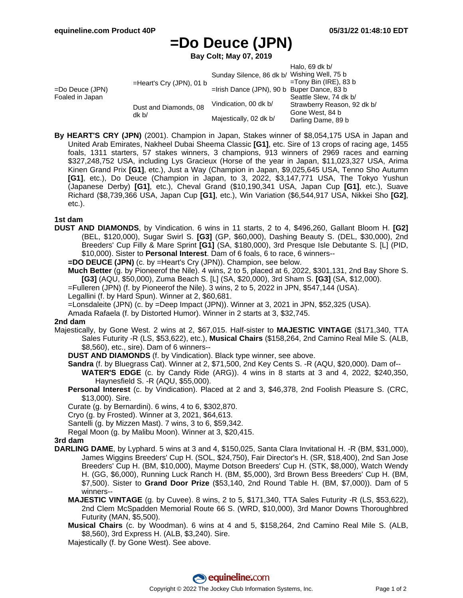# **=Do Deuce (JPN)**

**Bay Colt; May 07, 2019**

|                                       |                                |                                               | Halo, 69 dk $b/$            |
|---------------------------------------|--------------------------------|-----------------------------------------------|-----------------------------|
| $=$ Do Deuce (JPN)<br>Foaled in Japan | $=$ Heart's Cry (JPN), 01 b    | Sunday Silence, 86 dk b/ Wishing Well, 75 b   |                             |
|                                       |                                |                                               | $=$ Tony Bin (IRE), 83 b    |
|                                       |                                | $=$ Irish Dance (JPN), 90 b Buper Dance, 83 b |                             |
|                                       |                                |                                               | Seattle Slew, 74 dk b/      |
|                                       | Dust and Diamonds, 08<br>dk b/ | Vindication, 00 dk b/                         | Strawberry Reason, 92 dk b/ |
|                                       |                                | Majestically, 02 dk b/                        | Gone West, 84 b             |
|                                       |                                |                                               | Darling Dame, 89 b          |

**By HEART'S CRY (JPN)** (2001). Champion in Japan, Stakes winner of \$8,054,175 USA in Japan and United Arab Emirates, Nakheel Dubai Sheema Classic **[G1]**, etc. Sire of 13 crops of racing age, 1455 foals, 1311 starters, 57 stakes winners, 3 champions, 913 winners of 2969 races and earning \$327,248,752 USA, including Lys Gracieux (Horse of the year in Japan, \$11,023,327 USA, Arima Kinen Grand Prix **[G1]**, etc.), Just a Way (Champion in Japan, \$9,025,645 USA, Tenno Sho Autumn **[G1]**, etc.), Do Deuce (Champion in Japan, to 3, 2022, \$3,147,771 USA, The Tokyo Yushun (Japanese Derby) **[G1]**, etc.), Cheval Grand (\$10,190,341 USA, Japan Cup **[G1]**, etc.), Suave Richard (\$8,739,366 USA, Japan Cup **[G1]**, etc.), Win Variation (\$6,544,917 USA, Nikkei Sho **[G2]**, etc.).

#### **1st dam**

**DUST AND DIAMONDS**, by Vindication. 6 wins in 11 starts, 2 to 4, \$496,260, Gallant Bloom H. **[G2]** (BEL, \$120,000), Sugar Swirl S. **[G3]** (GP, \$60,000), Dashing Beauty S. (DEL, \$30,000), 2nd Breeders' Cup Filly & Mare Sprint **[G1]** (SA, \$180,000), 3rd Presque Isle Debutante S. [L] (PID, \$10,000). Sister to **Personal Interest**. Dam of 6 foals, 6 to race, 6 winners--

**=DO DEUCE (JPN)** (c. by =Heart's Cry (JPN)). Champion, see below.

**Much Better** (g. by Pioneerof the Nile). 4 wins, 2 to 5, placed at 6, 2022, \$301,131, 2nd Bay Shore S. **[G3]** (AQU, \$50,000), Zuma Beach S. [L] (SA, \$20,000), 3rd Sham S. **[G3]** (SA, \$12,000).

- =Fulleren (JPN) (f. by Pioneerof the Nile). 3 wins, 2 to 5, 2022 in JPN, \$547,144 (USA).
- Legallini (f. by Hard Spun). Winner at 2, \$60,681.
- =Lonsdaleite (JPN) (c. by =Deep Impact (JPN)). Winner at 3, 2021 in JPN, \$52,325 (USA).
- Amada Rafaela (f. by Distorted Humor). Winner in 2 starts at 3, \$32,745.

#### **2nd dam**

- Majestically, by Gone West. 2 wins at 2, \$67,015. Half-sister to **MAJESTIC VINTAGE** (\$171,340, TTA Sales Futurity -R (LS, \$53,622), etc.), **Musical Chairs** (\$158,264, 2nd Camino Real Mile S. (ALB, \$8,560), etc., sire). Dam of 6 winners--
	- **DUST AND DIAMONDS** (f. by Vindication). Black type winner, see above.
	- **Sandra** (f. by Bluegrass Cat). Winner at 2, \$71,500, 2nd Key Cents S. -R (AQU, \$20,000). Dam of--
	- **WATER'S EDGE** (c. by Candy Ride (ARG)). 4 wins in 8 starts at 3 and 4, 2022, \$240,350, Haynesfield S. -R (AQU, \$55,000).
	- **Personal Interest** (c. by Vindication). Placed at 2 and 3, \$46,378, 2nd Foolish Pleasure S. (CRC, \$13,000). Sire.
	- Curate (g. by Bernardini). 6 wins, 4 to 6, \$302,870.
	- Cryo (g. by Frosted). Winner at 3, 2021, \$64,613.

Santelli (g. by Mizzen Mast). 7 wins, 3 to 6, \$59,342.

Regal Moon (g. by Malibu Moon). Winner at 3, \$20,415.

## **3rd dam**

- **DARLING DAME**, by Lyphard. 5 wins at 3 and 4, \$150,025, Santa Clara Invitational H. -R (BM, \$31,000), James Wiggins Breeders' Cup H. (SOL, \$24,750), Fair Director's H. (SR, \$18,400), 2nd San Jose Breeders' Cup H. (BM, \$10,000), Mayme Dotson Breeders' Cup H. (STK, \$8,000), Watch Wendy H. (GG, \$6,000), Running Luck Ranch H. (BM, \$5,000), 3rd Brown Bess Breeders' Cup H. (BM, \$7,500). Sister to **Grand Door Prize** (\$53,140, 2nd Round Table H. (BM, \$7,000)). Dam of 5 winners--
	- **MAJESTIC VINTAGE** (g. by Cuvee). 8 wins, 2 to 5, \$171,340, TTA Sales Futurity -R (LS, \$53,622), 2nd Clem McSpadden Memorial Route 66 S. (WRD, \$10,000), 3rd Manor Downs Thoroughbred Futurity (MAN, \$5,500).
	- **Musical Chairs** (c. by Woodman). 6 wins at 4 and 5, \$158,264, 2nd Camino Real Mile S. (ALB, \$8,560), 3rd Express H. (ALB, \$3,240). Sire.

Majestically (f. by Gone West). See above.